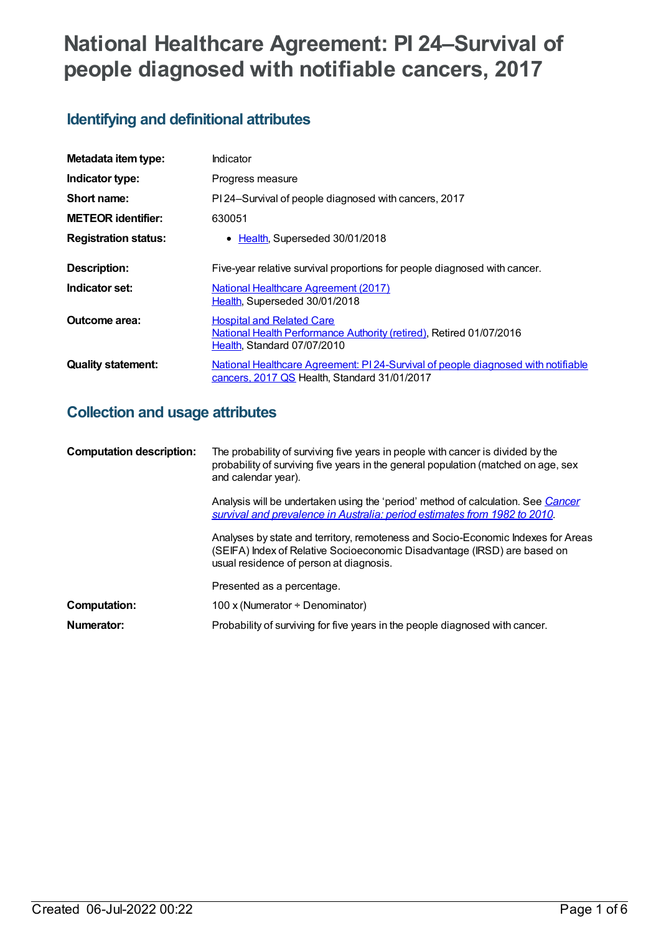# **National Healthcare Agreement: PI 24–Survival of people diagnosed with notifiable cancers, 2017**

## **Identifying and definitional attributes**

| Metadata item type:         | Indicator                                                                                                                              |
|-----------------------------|----------------------------------------------------------------------------------------------------------------------------------------|
| Indicator type:             | Progress measure                                                                                                                       |
| Short name:                 | PI 24–Survival of people diagnosed with cancers, 2017                                                                                  |
| <b>METEOR</b> identifier:   | 630051                                                                                                                                 |
| <b>Registration status:</b> | Health, Superseded 30/01/2018                                                                                                          |
| <b>Description:</b>         | Five-year relative survival proportions for people diagnosed with cancer.                                                              |
| Indicator set:              | <b>National Healthcare Agreement (2017)</b><br>Health, Superseded 30/01/2018                                                           |
| Outcome area:               | <b>Hospital and Related Care</b><br>National Health Performance Authority (retired), Retired 01/07/2016<br>Health, Standard 07/07/2010 |
| <b>Quality statement:</b>   | National Healthcare Agreement: PI 24-Survival of people diagnosed with notifiable<br>cancers, 2017 QS Health, Standard 31/01/2017      |

## **Collection and usage attributes**

| <b>Computation description:</b> | The probability of surviving five years in people with cancer is divided by the<br>probability of surviving five years in the general population (matched on age, sex<br>and calendar year).            |
|---------------------------------|---------------------------------------------------------------------------------------------------------------------------------------------------------------------------------------------------------|
|                                 | Analysis will be undertaken using the 'period' method of calculation. See Cancer<br>survival and prevalence in Australia: period estimates from 1982 to 2010.                                           |
|                                 | Analyses by state and territory, remoteness and Socio-Economic Indexes for Areas<br>(SEIFA) Index of Relative Socioeconomic Disadvantage (IRSD) are based on<br>usual residence of person at diagnosis. |
|                                 | Presented as a percentage.                                                                                                                                                                              |
| Computation:                    | 100 x (Numerator $\div$ Denominator)                                                                                                                                                                    |
| Numerator:                      | Probability of surviving for five years in the people diagnosed with cancer.                                                                                                                            |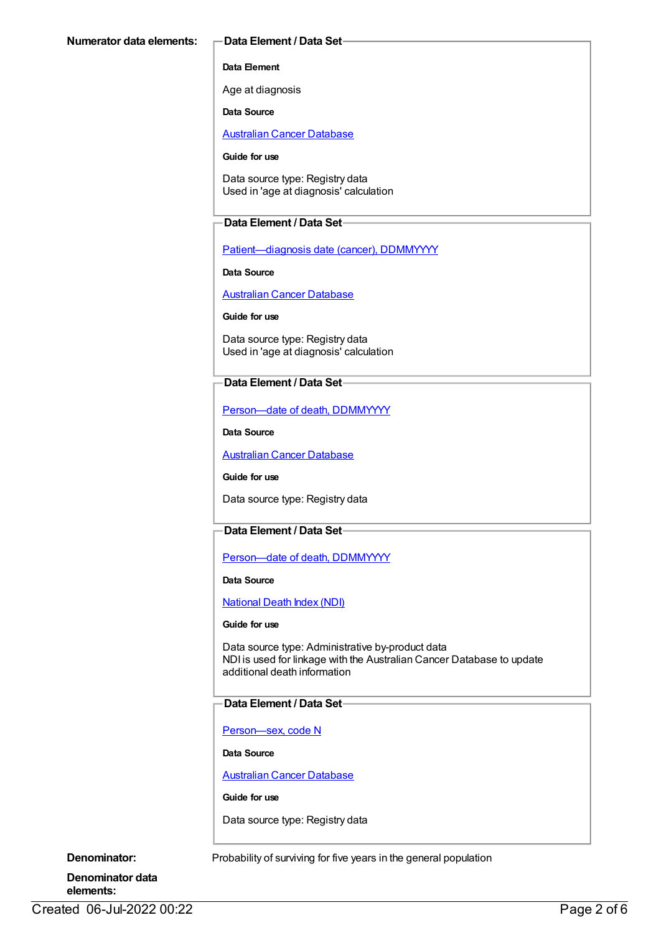#### **Data Element**

Age at diagnosis

**Data Source**

[Australian](https://meteor.aihw.gov.au/content/393621) Cancer Database

#### **Guide for use**

Data source type: Registry data Used in 'age at diagnosis' calculation

#### **Data Element / Data Set**

[Patient—diagnosis](https://meteor.aihw.gov.au/content/270061) date (cancer), DDMMYYYY

**Data Source**

[Australian](https://meteor.aihw.gov.au/content/393621) Cancer Database

**Guide for use**

Data source type: Registry data Used in 'age at diagnosis' calculation

### **Data Element / Data Set**

[Person—date](https://meteor.aihw.gov.au/content/287305) of death, DDMMYYYY

**Data Source**

[Australian](https://meteor.aihw.gov.au/content/393621) Cancer Database

**Guide for use**

Data source type: Registry data

## **Data Element / Data Set**

Person-date of death, DDMMYYYY

**Data Source**

[National](https://meteor.aihw.gov.au/content/395083) Death Index (NDI)

#### **Guide for use**

Data source type: Administrative by-product data NDI is used for linkage with the Australian Cancer Database to update additional death information

#### **Data Element / Data Set**

[Person—sex,](https://meteor.aihw.gov.au/content/287316) code N

**Data Source**

[Australian](https://meteor.aihw.gov.au/content/393621) Cancer Database

**Guide for use**

Data source type: Registry data

**Denominator:** Probability of surviving for five years in the general population

**Denominator data elements:**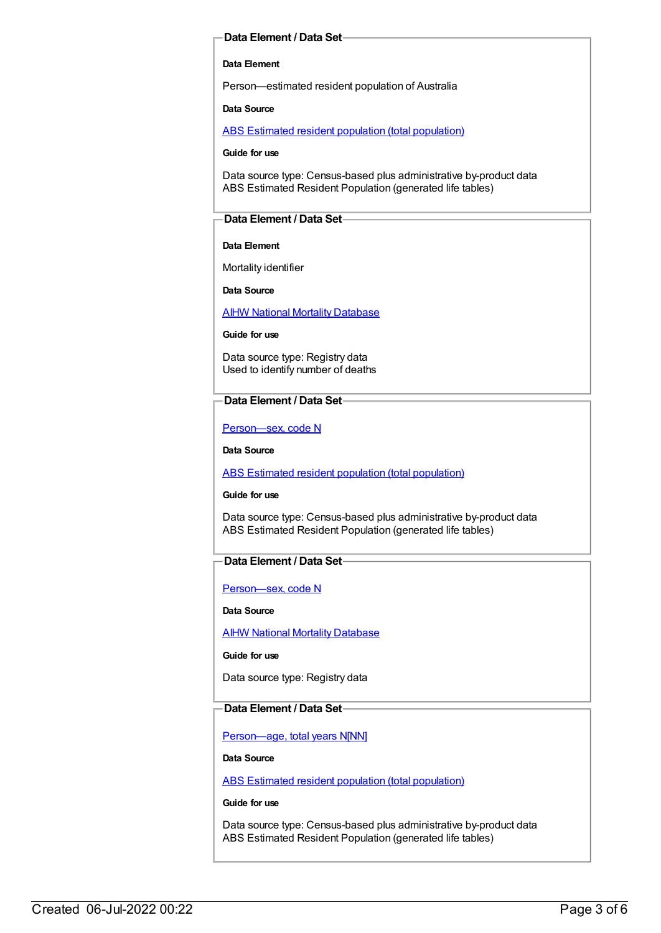#### **Data Element / Data Set**

#### **Data Element**

Person—estimated resident population of Australia

**Data Source**

ABS Estimated resident population (total [population\)](https://meteor.aihw.gov.au/content/393625)

**Guide for use**

Data source type: Census-based plus administrative by-product data ABS Estimated Resident Population (generated life tables)

#### **Data Element / Data Set**

#### **Data Element**

Mortality identifier

**Data Source**

**AIHW National Mortality [Database](https://meteor.aihw.gov.au/content/395084)** 

**Guide for use**

Data source type: Registry data Used to identify number of deaths

#### **Data Element / Data Set**

[Person—sex,](https://meteor.aihw.gov.au/content/287316) code N

**Data Source**

ABS Estimated resident population (total [population\)](https://meteor.aihw.gov.au/content/393625)

**Guide for use**

Data source type: Census-based plus administrative by-product data ABS Estimated Resident Population (generated life tables)

#### **Data Element / Data Set**

[Person—sex,](https://meteor.aihw.gov.au/content/287316) code N

**Data Source**

AIHW National Mortality [Database](https://meteor.aihw.gov.au/content/395084)

**Guide for use**

Data source type: Registry data

#### **Data Element / Data Set**

[Person—age,](https://meteor.aihw.gov.au/content/303794) total years N[NN]

**Data Source**

ABS Estimated resident population (total [population\)](https://meteor.aihw.gov.au/content/393625)

**Guide for use**

Data source type: Census-based plus administrative by-product data ABS Estimated Resident Population (generated life tables)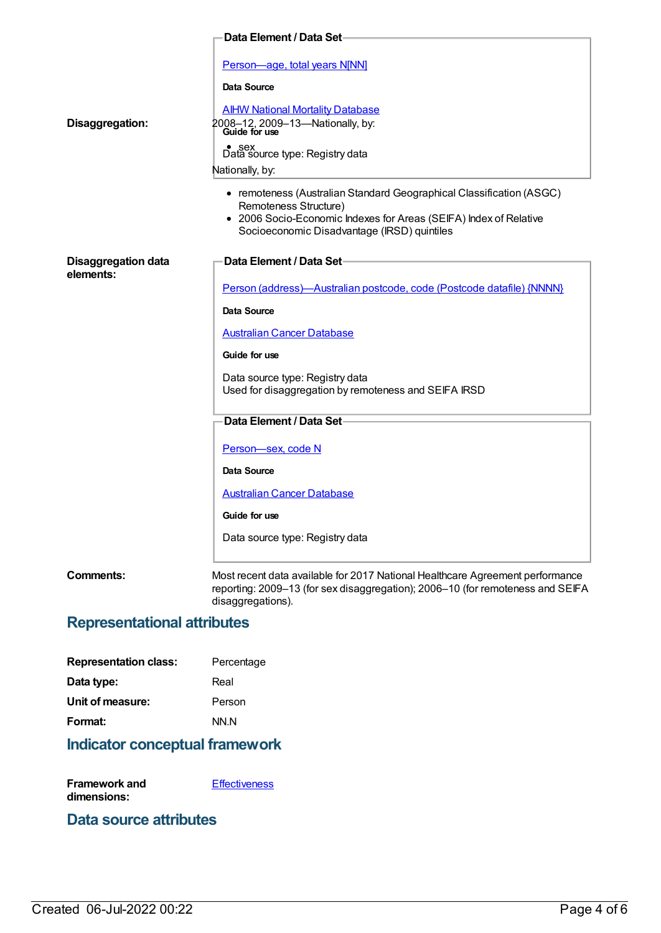| Data Element / Data Set-                |                                                                                                                                                                                                                                                                                                                                                                                                                         |  |
|-----------------------------------------|-------------------------------------------------------------------------------------------------------------------------------------------------------------------------------------------------------------------------------------------------------------------------------------------------------------------------------------------------------------------------------------------------------------------------|--|
| Disaggregation:                         | Person-age, total years N[NN]<br>Data Source<br><b>AIHW National Mortality Database</b><br>2008-12, 2009-13-Nationally, by:<br>Guide for use<br>Data source type: Registry data<br>Nationally, by:<br>• remoteness (Australian Standard Geographical Classification (ASGC)<br>Remoteness Structure)<br>• 2006 Socio-Economic Indexes for Areas (SEIFA) Index of Relative<br>Socioeconomic Disadvantage (IRSD) quintiles |  |
| <b>Disaggregation data</b><br>elements: | Data Element / Data Set-<br>Person (address)-Australian postcode, code (Postcode datafile) {NNNN}<br>Data Source<br><b>Australian Cancer Database</b><br>Guide for use<br>Data source type: Registry data<br>Used for disaggregation by remoteness and SEIFA IRSD                                                                                                                                                       |  |
|                                         | Data Element / Data Set-                                                                                                                                                                                                                                                                                                                                                                                                |  |
|                                         | Person-sex, code N<br>Data Source<br><b>Australian Cancer Database</b><br>Guide for use<br>Data source type: Registry data                                                                                                                                                                                                                                                                                              |  |
| <b>Comments:</b>                        | Most recent data available for 2017 National Healthcare Agreement performance<br>reporting: 2009-13 (for sex disaggregation); 2006-10 (for remoteness and SEIFA                                                                                                                                                                                                                                                         |  |

## **Representational attributes**

disaggregations).

| <b>Representation class:</b> | Percentage |
|------------------------------|------------|
| Data type:                   | Real       |
| Unit of measure:             | Person     |
| Format:                      | NN.N       |
|                              |            |

## **Indicator conceptual framework**

| Framework and | <b>Effectiveness</b> |
|---------------|----------------------|
| dimensions:   |                      |

## **Data source attributes**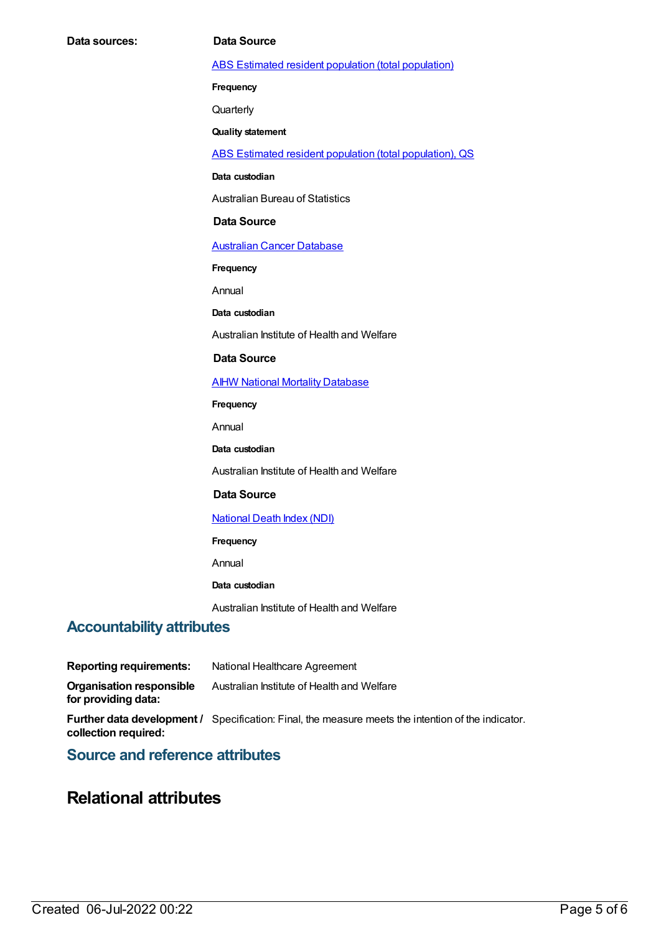ABS Estimated resident population (total [population\)](https://meteor.aihw.gov.au/content/393625)

**Frequency**

**Quarterly** 

**Quality statement**

ABS Estimated resident population (total [population\),](https://meteor.aihw.gov.au/content/449216) QS

**Data custodian**

Australian Bureau of Statistics

#### **Data Source**

[Australian](https://meteor.aihw.gov.au/content/393621) Cancer Database

**Frequency**

Annual

**Data custodian**

Australian Institute of Health and Welfare

#### **Data Source**

**AIHW National Mortality [Database](https://meteor.aihw.gov.au/content/395084)** 

**Frequency**

Annual

**Data custodian**

Australian Institute of Health and Welfare

#### **Data Source**

#### [National](https://meteor.aihw.gov.au/content/395083) Death Index (NDI)

**Frequency**

Annual

#### **Data custodian**

Australian Institute of Health and Welfare

### **Accountability attributes**

**Reporting requirements:** National Healthcare Agreement **Organisation responsible for providing data:** Australian Institute of Health and Welfare **Further data development /** Specification: Final, the measure meets the intention of the indicator. **collection required:**

## **Source and reference attributes**

## **Relational attributes**